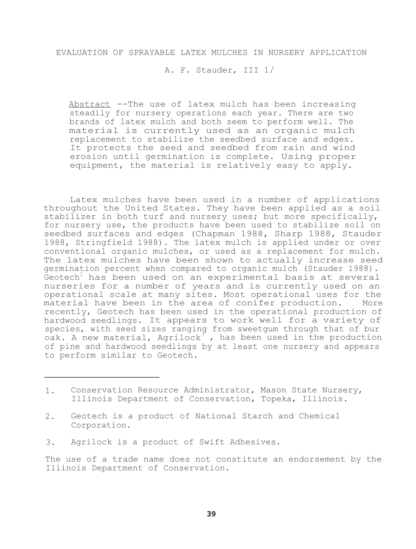A. F. Stauder, III 1/

Abstract --The use of latex mulch has been increasing steadily for nursery operations each year. There are two brands of latex mulch and both seem to perform well. The material is currently used as an organic mulch replacement to stabilize the seedbed surface and edges. It protects the seed and seedbed from rain and wind erosion until germination is complete. Using proper equipment, the material is relatively easy to apply.

Latex mulches have been used in a number of applications throughout the United States. They have been applied as a soil stabilizer in both turf and nursery uses; but more specifically, for nursery use, the products have been used to stabilize soil on seedbed surfaces and edges (Chapman 1988, Sharp 1988, Stauder 1988, Stringfield 1988). The latex mulch is applied under or over conventional organic mulches, or used as a replacement for mulch. The latex mulches have been shown to actually increase seed germination percent when compared to organic mulch (Stauder 1988). Geotech<sup>2</sup> has been used on an experimental basis at several nurseries for a number of years and is currently used on an operational scale at many sites. Most operational uses for the material have been in the area of conifer production. recently, Geotech has been used in the operational production of hardwood seedlings. It appears to work well for a variety of species, with seed sizes ranging from sweetgum through that of bur oak. A new material,  $A$ grilock<sup>3</sup>, has been used in the production of pine and hardwood seedlings by at least one nursery and appears to perform similar to Geotech.

- 1. Conservation Resource Administrator, Mason State Nursery, Illinois Department of Conservation, Topeka, Illinois.
- 2. Geotech is a product of National Starch and Chemical Corporation.
- 3. Agrilock is a product of Swift Adhesives.

The use of a trade name does not constitute an endorsement by the Illinois Department of Conservation.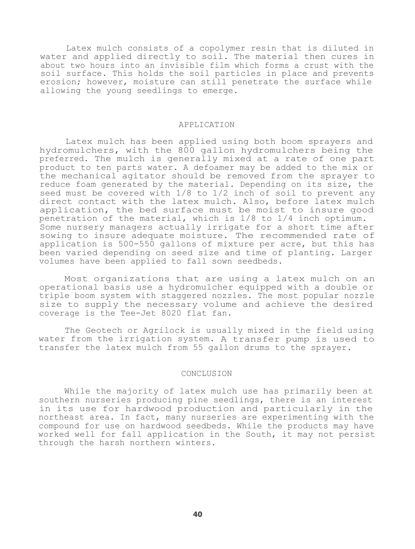Latex mulch consists of a copolymer resin that is diluted in water and applied directly to soil. The material then cures in about two hours into an invisible film which forms a crust with the soil surface. This holds the soil particles in place and prevents erosion; however, moisture can still penetrate the surface while allowing the young seedlings to emerge.

## APPLICATION

Latex mulch has been applied using both boom sprayers and hydromulchers, with the 800 gallon hydromulchers being the preferred. The mulch is generally mixed at a rate of one part product to ten parts water. A defoamer may be added to the mix or the mechanical agitator should be removed from the sprayer to reduce foam generated by the material. Depending on its size, the seed must be covered with 1/8 to 1/2 inch of soil to prevent any direct contact with the latex mulch. Also, before latex mulch application, the bed surface must be moist to insure good penetration of the material, which is 1/8 to 1/4 inch optimum. Some nursery managers actually irrigate for a short time after sowing to insure adequate moisture. The recommended rate of application is 500-550 gallons of mixture per acre, but this has been varied depending on seed size and time of planting. Larger volumes have been applied to fall sown seedbeds.

Most organizations that are using a latex mulch on an operational basis use a hydromulcher equipped with a double or triple boom system with staggered nozzles. The most popular nozzle size to supply the necessary volume and achieve the desired coverage is the Tee-Jet 8020 flat fan.

The Geotech or Agrilock is usually mixed in the field using water from the irrigation system. A transfer pump is used to transfer the latex mulch from 55 gallon drums to the sprayer.

## CONCLUSION

While the majority of latex mulch use has primarily been at southern nurseries producing pine seedlings, there is an interest in its use for hardwood production and particularly in the northeast area. In fact, many nurseries are experimenting with the compound for use on hardwood seedbeds. While the products may have worked well for fall application in the South, it may not persist through the harsh northern winters.